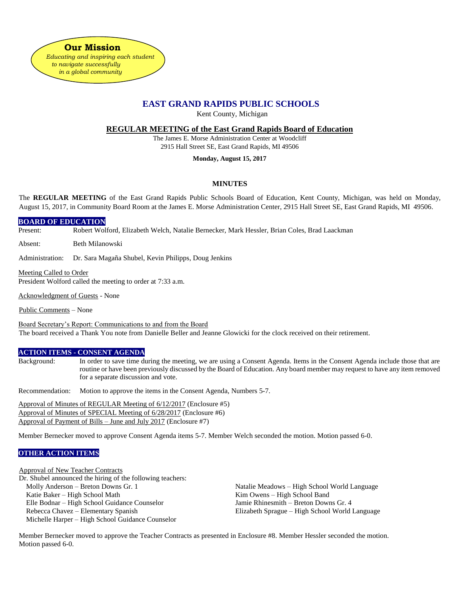**Our Mission**  *Educating and inspiring each student to navigate successfully in a global community*

# **EAST GRAND RAPIDS PUBLIC SCHOOLS**

Kent County, Michigan

**REGULAR MEETING of the East Grand Rapids Board of Education**

The James E. Morse Administration Center at Woodcliff 2915 Hall Street SE, East Grand Rapids, MI 49506

### **Monday, August 15, 2017**

# **MINUTES**

The **REGULAR MEETING** of the East Grand Rapids Public Schools Board of Education, Kent County, Michigan, was held on Monday, August 15, 2017, in Community Board Room at the James E. Morse Administration Center, 2915 Hall Street SE, East Grand Rapids, MI 49506.

#### **BOARD OF EDUCATION**

Present: Robert Wolford, Elizabeth Welch, Natalie Bernecker, Mark Hessler, Brian Coles, Brad Laackman

Absent: Beth Milanowski

Administration: Dr. Sara Magaña Shubel, Kevin Philipps, Doug Jenkins

Meeting Called to Order President Wolford called the meeting to order at 7:33 a.m.

Acknowledgment of Guests - None

Public Comments – None

Board Secretary's Report: Communications to and from the Board The board received a Thank You note from Danielle Beller and Jeanne Glowicki for the clock received on their retirement.

#### **ACTION ITEMS - CONSENT AGENDA**

Background: In order to save time during the meeting, we are using a Consent Agenda. Items in the Consent Agenda include those that are routine or have been previously discussed by the Board of Education. Any board member may request to have any item removed for a separate discussion and vote.

Recommendation: Motion to approve the items in the Consent Agenda, Numbers 5-7.

Approval of Minutes of REGULAR Meeting of 6/12/2017 (Enclosure #5) Approval of Minutes of SPECIAL Meeting of 6/28/2017 (Enclosure #6) Approval of Payment of Bills – June and July 2017 (Enclosure #7)

Member Bernecker moved to approve Consent Agenda items 5-7. Member Welch seconded the motion. Motion passed 6-0.

### **OTHER ACTION ITEMS**

Approval of New Teacher Contracts Dr. Shubel announced the hiring of the following teachers: Molly Anderson – Breton Downs Gr. 1 Natalie Meadows – High School World Language Katie Baker – High School Math Kim Owens – High School Band Elle Bodnar – High School Guidance Counselor Jamie Rhinesmith – Breton Downs Gr. 4 Rebecca Chavez – Elementary Spanish Elizabeth Sprague – High School World Language Michelle Harper – High School Guidance Counselor

Member Bernecker moved to approve the Teacher Contracts as presented in Enclosure #8. Member Hessler seconded the motion. Motion passed 6-0.